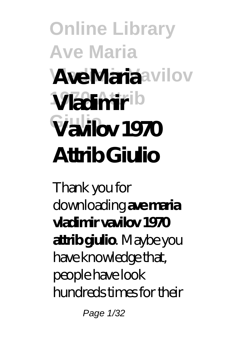## **Online Library Ave Maria AveMariaavilov 1970 Attrib Vladimir Giulio Vavilov 1970 Attrib Giulio**

Thank you for downloading **ave maria vladimir vavilov 1970 attrib giulio**. Maybe you have knowledge that, people have look hundreds times for their

Page 1/32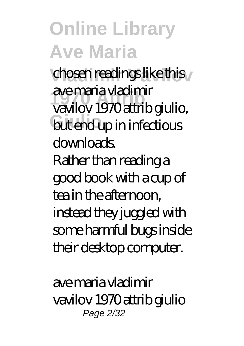chosen readings like this **1970 Attrib** vavilov 1970 attrib giulio, **but end up in infectious** ave maria vladimir downloads. Rather than reading a good book with a cup of tea in the afternoon, instead they juggled with some harmful bugs inside their desktop computer.

ave maria vladimir vavilov 1970 attrib giulio Page 2/32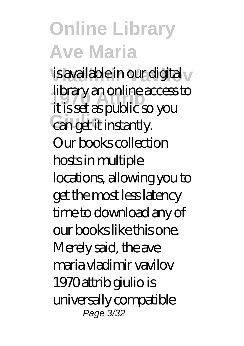is available in our digital v **1970 Attrib** it is set as public so you can get it instantly. library an online access to Our books collection hosts in multiple locations, allowing you to get the most less latency time to download any of our books like this one. Merely said, the ave maria vladimir vavilov 1970 attrib giulio is universally compatible Page 3/32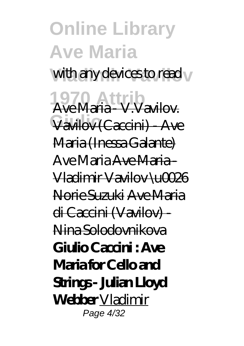#### **Online Library Ave Maria** with any devices to read  $\sqrt{ }$ **1970 Attrib** Ave Maria - V.Vavilov. **Giulio** Vavilov (Caccini) - Ave Maria (Inessa Galante) *Ave Maria* Ave Maria - Vladimir Vavilov \u0026 Norie Suzuki Ave Maria di Caccini (Vavilov) - Nina Solodovnikova **Giulio Caccini : Ave Maria for Cello and Strings - Julian Lloyd Webber** Vladimir Page 4/32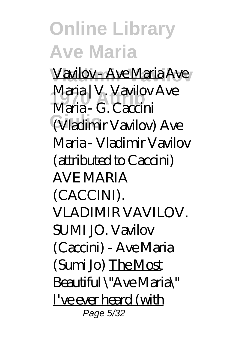Vavilov - Ave Maria Ave **1970 Attrib** *Maria - G. Caccini* **Giulio** *(Vladimir Vavilov) Ave* Maria | V. Vavilov *Ave Maria - Vladimir Vavilov (attributed to Caccini) AVE MARIA (CACCINI). VLADIMIR VAVILOV. SUMI JO. Vavilov (Caccini) - Ave Maria (Sumi Jo)* The Most Beautiful \"Ave Maria\" I've ever heard (with Page 5/32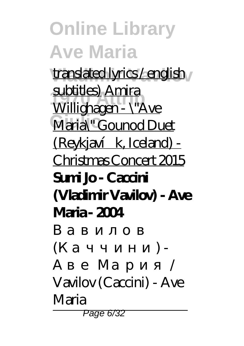translated lyrics / english <sub>/</sub> **1970 Attrib** Willighagen - \"Ave Maria<sup>\"</sup> Gounod Duet subtitles) Amira (Reykjavík, Iceland) -Christmas Concert 2015 **Sumi Jo - Caccini (Vladimir Vavilov) - Ave Maria - 2004**

 $($  ) -Аве Мария / Vavilov (Caccini) - Ave Maria Page 6/32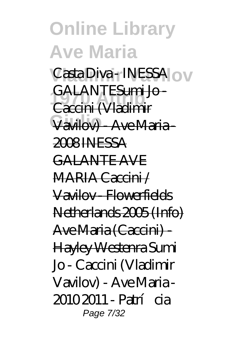**Online Library Ave Maria** Casta Diva - INESSA <sub>O</sub> **1970 Attrib** Caccini (Vladimir **Giulio** Vavilov) - Ave Maria - GALANTESumi Io-2008 INESSA GALANTE AVE MARIA Caccini / Vavilov - Flowerfields Netherlands 2005 (Info) Ave Maria (Caccini) - Hayley Westenra *Sumi Jo - Caccini (Vladimir Vavilov) - Ave Maria - 2010 2011 - Patrícia* Page 7/32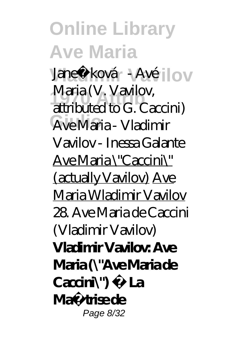*Vanečková - Avé* **lov 1970 Attrib** *attributed to G. Caccini)* **Giulio** Ave Maria - Vladimir *Maria (V. Vavilov,* Vavilov - Inessa Galante Ave Maria \"Caccini\" (actually Vavilov) Ave Maria Wladimir Vavilov *28. Ave Maria de Caccini (Vladimir Vavilov)* **Vladimir Vavilov: Ave Maria (\"Ave Maria de Caccini\") · La Maîtrise de** Page 8/32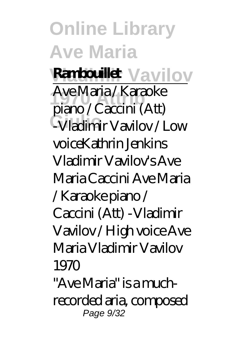**Ranbouillet** Vavilov **1970 Attrib** piano / Caccini (Att) **Giulio** -Vladimir Vavilov / Low Ave Maria / Karaoke voice*Kathrin Jenkins Vladimir Vavilov's Ave Maria Caccini Ave Maria / Karaoke piano / Caccini (Att) -Vladimir Vavilov / High voice* Ave Maria Vladimir Vavilov 1970

"Ave Maria" is a muchrecorded aria, composed Page 9/32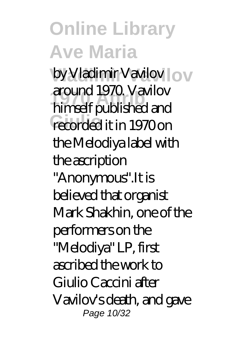**Vladimir Vavilov** by Vladimir Vavilov **1970 Attrib** himself published and recorded it in 1970 on around 1970. Vavilov the Melodiya label with the ascription "Anonymous".It is believed that organist Mark Shakhin, one of the performers on the "Melodiya" LP, first ascribed the work to Giulio Caccini after Vavilov's death, and gave Page 10/32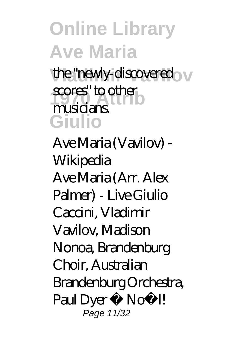the "newly-discovered" v scores" to other **Giulio** musicians.

Ave Maria (Vavilov) - Wikipedia Ave Maria (Arr. Alex Palmer) - Live Giulio Caccini, Vladimir Vavilov, Madison Nonoa, Brandenburg Choir, Australian Brandenburg Orchestra, Paul Dyer • Noë l! Page 11/32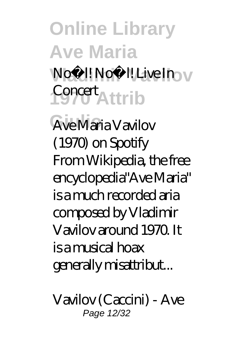Noël! Noë l! **Live In 1970 Attrib** Concert

Ave Maria Vavilov (1970) on Spotify From Wikipedia, the free encyclopedia"Ave Maria" is a much recorded aria composed by Vladimir Vavilov around 1970. It is a musical hoax generally misattribut...

Vavilov (Caccini) - Ave Page 12/32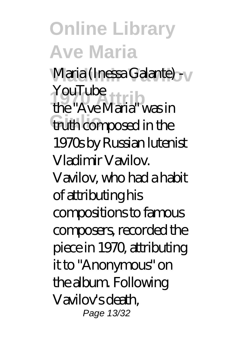Maria (Inessa Galante) - <sub>V</sub> YouTube<br>the "Ave Meric" fruth composed in the the "Ave Maria" was in 1970s by Russian lutenist Vladimir Vavilov. Vavilov, who had a habit of attributing his compositions to famous composers, recorded the piece in 1970, attributing it to "Anonymous" on the album. Following Vavilov's death, Page 13/32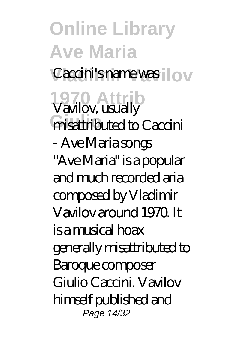**Online Library Ave Maria** Caccini's name was  $\log$ **1970 Attrib** Vavilov, usually **Finisattributed to Caccini** - Ave Maria songs "Ave Maria" is a popular and much recorded aria composed by Vladimir Vavilov around 1970. It is a musical hoax generally misattributed to Baroque composer Giulio Caccini. Vavilov himself published and Page 14/32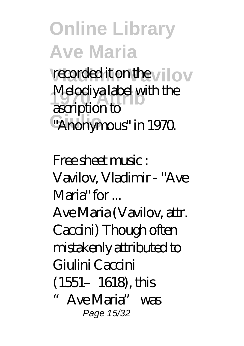recorded it on the vilov Melodiya label with the<br> *corri***ption** to <sup>"</sup>Anonymous" in 1970. ascription to

Free sheet music : Vavilov, Vladimir - "Ave Maria" for ...

Ave Maria (Vavilov, attr. Caccini) Though often mistakenly attributed to Giulini Caccini (1551–1618), this "Ave Maria" was Page 15/32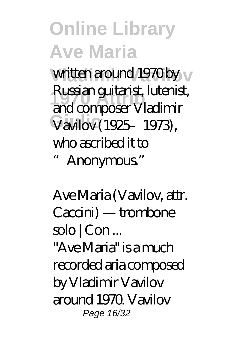written around 1970 by <sub>V</sub> **1970 Attrib** and composer Vladimir **Giulio** Vavilov (1925–1973), Russian guitarist, lutenist, who ascribed it to "Anonymous."

Ave Maria (Vavilov, attr. Caccini) — trombone solo | Con ...

"Ave Maria" is a much recorded aria composed by Vladimir Vavilov around 1970. Vavilov Page 16/32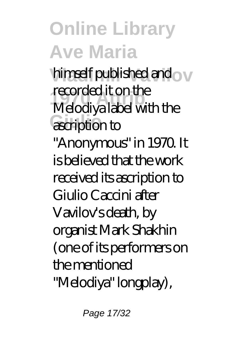himself published and ov **1970 Attrib** Melodiya label with the ascription to recorded it on the

"Anonymous" in 1970. It is believed that the work received its ascription to Giulio Caccini after Vavilov's death, by organist Mark Shakhin (one of its performers on the mentioned "Melodiya" longplay),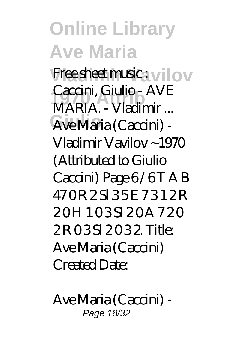Free sheet music: vilov **1970 Attrib** MARIA. - Vladimir ... Ave Maria (Caccini) -Caccini, Giulio - AVE Vladimir Vavilov ~1970 (Attributed to Giulio Caccini) Page 6/6T A B 470 R 2 S 35 E 7 3 1 2 R 20H 103SI 20A 720 2 R 0 3 Sl 2 0 3 2. Title: Ave Maria (Caccini) Created Date:

Ave Maria (Caccini) - Page 18/32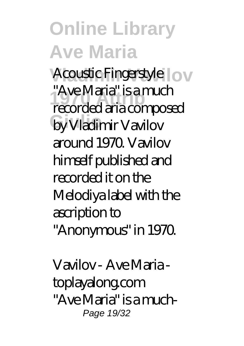Acoustic Fingerstyle | OV **1970 Attrib** recorded aria composed by Vladimir Vavilov "Ave Maria" is a much around 1970. Vavilov himself published and recorded it on the Melodiya label with the ascription to "Anonymous" in 1970.

Vavilov - Ave Maria toplayalong.com "Ave Maria" is a much-Page 19/32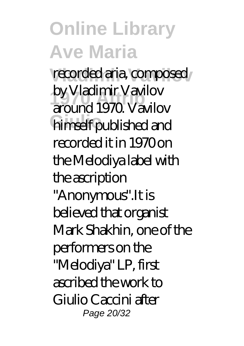recorded aria, composed by viaduritic vavilov<br>around 1970. Vavilov himself published and by Vladimir Vavilov recorded it in 1970 on the Melodiya label with the ascription

"Anonymous".It is believed that organist Mark Shakhin, one of the performers on the "Melodiya" LP, first ascribed the work to Giulio Caccini after Page 20/32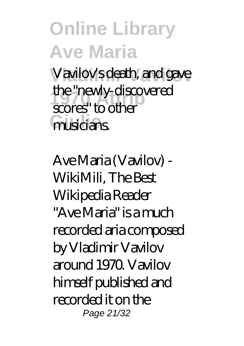### **Online Library Ave Maria** Vavilov's death, and gave

**1970 Attrib** scores" to other musicians. the "newly-discovered

Ave Maria (Vavilov) - WikiMili, The Best Wikipedia Reader "Ave Maria" is a much recorded aria composed by Vladimir Vavilov around 1970. Vavilov himself published and recorded it on the Page 21/32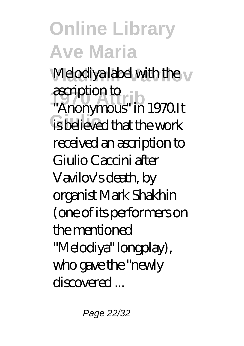Melodiya label with the v

**1970** ascription to  $\frac{1}{2}$ is believed that the work "Anonymous" in 1970.It received an ascription to Giulio Caccini after Vavilov's death, by organist Mark Shakhin (one of its performers on the mentioned "Melodiya" longplay), who gave the "newly discovered ...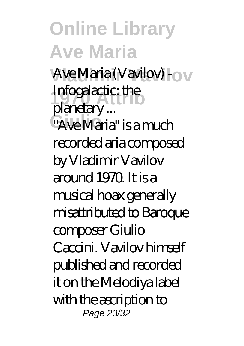Ave Maria (Vavilov) - <sub>O</sub> **Infogalactic:** the <sup>"</sup>Ave Maria" is a much planetary ... recorded aria composed

by Vladimir Vavilov around 1970. It is a musical hoax generally misattributed to Baroque composer Giulio Caccini. Vavilov himself published and recorded it on the Melodiya label with the ascription to Page 23/32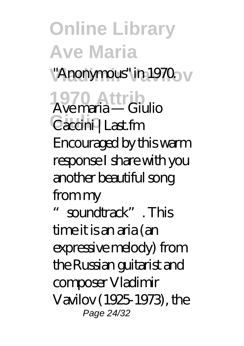## **Online Library Ave Maria** "Anonymous" in 1970. <sub>V</sub> **1970 Attrib** Ave maria — Giulio

Caccini | Last.fm Encouraged by this warm response I share with you another beautiful song from my

soundtrack". This time it is an aria (an expressive melody) from the Russian guitarist and composer Vladimir Vavilov (1925-1973), the Page 24/32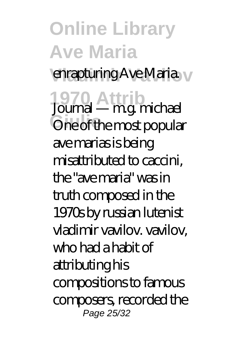enrapturing Ave Maria.

**1970 Attrib** Journal — m.g. michael **One of the most popular** ave marias is being misattributed to caccini, the "ave maria" was in truth composed in the 1970s by russian lutenist vladimir vavilov. vavilov, who had a habit of attributing his compositions to famous composers, recorded the Page 25/32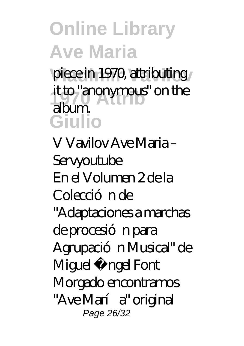piece in 1970, attributing it to "anonymous" on the<br>album **Giulio** album.

V Vavilov Ave Maria – Servyoutube En el Volumen 2 de la Colecció n de "Adaptaciones a marchas de procesión para Agrupación Musical" de Miguel Á ngel Font Morgado encontramos "Ave María" original Page 26/32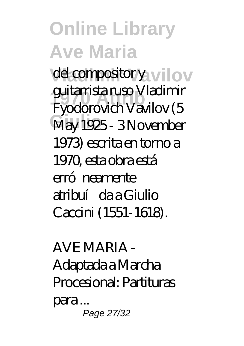del compositor y vilov **1970 Attrib** Fyodorovich Vavilov (5 May 1925 - 3 November guitarrista ruso Vladimir 1973) escrita en torno a 1970, esta obra está erró neamente atribuí da a Giulio Caccini (1551-1618).

AVE MARIA - Adaptada a Marcha Procesional: Partituras para ... Page 27/32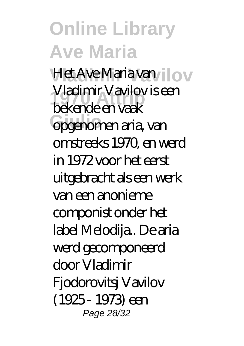Het Ave Maria van *Ilov* viadinir vavilov<br>bekende en vaak **Gpgenomen aria, van** Vladimir Vavilov is een omstreeks 1970, en werd in 1972 voor het eerst uitgebracht als een werk van een anonieme componist onder het label Melodija.. De aria werd gecomponeerd door Vladimir Fjodorovitsj Vavilov (1925 - 1973) een Page 28/32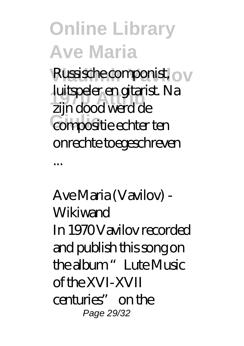Russische componist, ov **1970 Attrib** zijn dood werd de compositie echter ten luitspeler en gitarist. Na onrechte toegeschreven

...

Ave Maria (Vavilov) - **Wikiwand** In 1970 Vavilov recorded and publish this song on the album "Lute Music of the XVI-XVII centuries" on the Page 29/32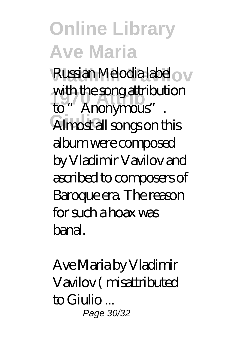Russian Melodia label <sub>O</sub> **1970 Attrib** to "Anonymous". Almost all songs on this with the song attribution album were composed by Vladimir Vavilov and ascribed to composers of Baroque era. The reason for such a hoax was banal.

Ave Maria by Vladimir Vavilov ( misattributed to Giulio ... Page 30/32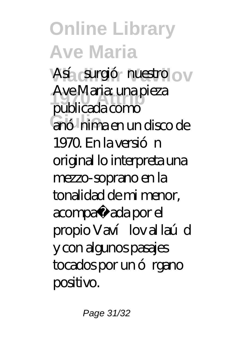Así surgió nuestro o v **1970 Attrib** publicada como anó hima en un disco de Ave Maria: una pieza 1970. En la versión original lo interpreta una mezzo-soprano en la tonalidad de mi menor, acompañ ada por el propio Vaví lov al laúd y con algunos pasajes tocados por un ó rgano positivo.